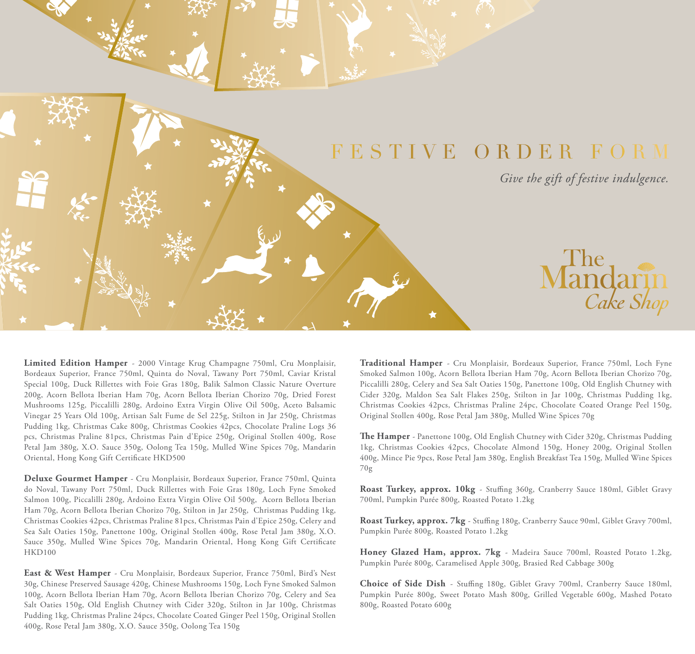

**Limited Edition Hamper** - 2000 Vintage Krug Champagne 750ml, Cru Monplaisir, Bordeaux Superior, France 750ml, Quinta do Noval, Tawany Port 750ml, Caviar Kristal Special 100g, Duck Rillettes with Foie Gras 180g, Balik Salmon Classic Nature Overture 200g, Acorn Bellota Iberian Ham 70g, Acorn Bellota Iberian Chorizo 70g, Dried Forest Mushrooms 125g, Piccalilli 280g, Ardoino Extra Virgin Olive Oil 500g, Aceto Balsamic Vinegar 25 Years Old 100g, Artisan Salt Fume de Sel 225g, Stilton in Jar 250g, Christmas Pudding 1kg, Christmas Cake 800g, Christmas Cookies 42pcs, Chocolate Praline Logs 36 pcs, Christmas Praline 81pcs, Christmas Pain d'Epice 250g, Original Stollen 400g, Rose Petal Jam 380g, X.O. Sauce 350g, Oolong Tea 150g, Mulled Wine Spices 70g, Mandarin Oriental, Hong Kong Gift Certificate HKD500

**Deluxe Gourmet Hamper** - Cru Monplaisir, Bordeaux Superior, France 750ml, Quinta do Noval, Tawany Port 750ml, Duck Rillettes with Foie Gras 180g, Loch Fyne Smoked Salmon 100g, Piccalilli 280g, Ardoino Extra Virgin Olive Oil 500g, Acorn Bellota Iberian Ham 70g, Acorn Bellota Iberian Chorizo 70g, Stilton in Jar 250g, Christmas Pudding 1kg, Christmas Cookies 42pcs, Christmas Praline 81pcs, Christmas Pain d'Epice 250g, Celery and Sea Salt Oaties 150g, Panettone 100g, Original Stollen 400g, Rose Petal Jam 380g, X.O. Sauce 350g, Mulled Wine Spices 70g, Mandarin Oriental, Hong Kong Gift Certificate HKD100

**East & West Hamper** - Cru Monplaisir, Bordeaux Superior, France 750ml, Bird's Nest 30g, Chinese Preserved Sausage 420g, Chinese Mushrooms 150g, Loch Fyne Smoked Salmon 100g, Acorn Bellota Iberian Ham 70g, Acorn Bellota Iberian Chorizo 70g, Celery and Sea Salt Oaties 150g, Old English Chutney with Cider 320g, Stilton in Jar 100g, Christmas Pudding 1kg, Christmas Praline 24pcs, Chocolate Coated Ginger Peel 150g, Original Stollen 400g, Rose Petal Jam 380g, X.O. Sauce 350g, Oolong Tea 150g

**Traditional Hamper** - Cru Monplaisir, Bordeaux Superior, France 750ml, Loch Fyne Smoked Salmon 100g, Acorn Bellota Iberian Ham 70g, Acorn Bellota Iberian Chorizo 70g, Piccalilli 280g, Celery and Sea Salt Oaties 150g, Panettone 100g, Old English Chutney with Cider 320g, Maldon Sea Salt Flakes 250g, Stilton in Jar 100g, Christmas Pudding 1kg, Christmas Cookies 42pcs, Christmas Praline 24pc, Chocolate Coated Orange Peel 150g, Original Stollen 400g, Rose Petal Jam 380g, Mulled Wine Spices 70g

**e Hamper** - Panettone 100g, Old English Chutney with Cider 320g, Christmas Pudding 1kg, Christmas Cookies 42pcs, Chocolate Almond 150g, Honey 200g, Original Stollen 400g, Mince Pie 9pcs, Rose Petal Jam 380g, English Breakfast Tea 150g, Mulled Wine Spices 70g

Roast Turkey, approx. 10kg - Stuffing 360g, Cranberry Sauce 180ml, Giblet Gravy 700ml, Pumpkin Purée 800g, Roasted Potato 1.2kg

Roast Turkey, approx. 7kg - Stuffing 180g, Cranberry Sauce 90ml, Giblet Gravy 700ml, Pumpkin Purée 800g, Roasted Potato 1.2kg

**Honey Glazed Ham, approx. 7kg** - Madeira Sauce 700ml, Roasted Potato 1.2kg, Pumpkin Purée 800g, Caramelised Apple 300g, Brasied Red Cabbage 300g

Choice of Side Dish - Stuffing 180g, Giblet Gravy 700ml, Cranberry Sauce 180ml, Pumpkin Purée 800g, Sweet Potato Mash 800g, Grilled Vegetable 600g, Mashed Potato 800g, Roasted Potato 600g